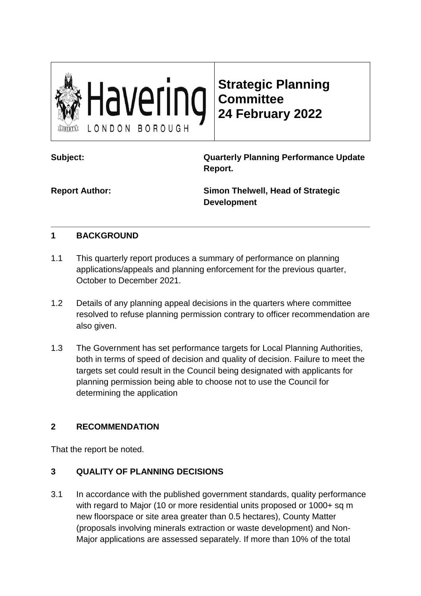

**Strategic Planning Committee 24 February 2022**

**Subject: Quarterly Planning Performance Update Report.**

**Report Author: Simon Thelwell, Head of Strategic Development**

## **1 BACKGROUND**

- 1.1 This quarterly report produces a summary of performance on planning applications/appeals and planning enforcement for the previous quarter, October to December 2021.
- 1.2 Details of any planning appeal decisions in the quarters where committee resolved to refuse planning permission contrary to officer recommendation are also given.
- 1.3 The Government has set performance targets for Local Planning Authorities, both in terms of speed of decision and quality of decision. Failure to meet the targets set could result in the Council being designated with applicants for planning permission being able to choose not to use the Council for determining the application

# **2 RECOMMENDATION**

That the report be noted.

# **3 QUALITY OF PLANNING DECISIONS**

3.1 In accordance with the published government standards, quality performance with regard to Major (10 or more residential units proposed or 1000+ sq m new floorspace or site area greater than 0.5 hectares), County Matter (proposals involving minerals extraction or waste development) and Non-Major applications are assessed separately. If more than 10% of the total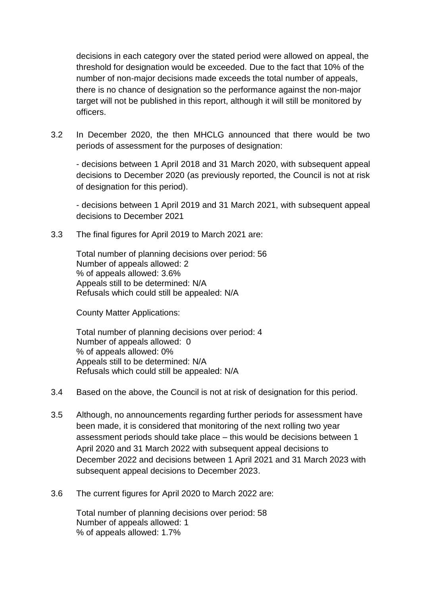decisions in each category over the stated period were allowed on appeal, the threshold for designation would be exceeded. Due to the fact that 10% of the number of non-major decisions made exceeds the total number of appeals, there is no chance of designation so the performance against the non-major target will not be published in this report, although it will still be monitored by officers.

3.2 In December 2020, the then MHCLG announced that there would be two periods of assessment for the purposes of designation:

- decisions between 1 April 2018 and 31 March 2020, with subsequent appeal decisions to December 2020 (as previously reported, the Council is not at risk of designation for this period).

- decisions between 1 April 2019 and 31 March 2021, with subsequent appeal decisions to December 2021

3.3 The final figures for April 2019 to March 2021 are:

Total number of planning decisions over period: 56 Number of appeals allowed: 2 % of appeals allowed: 3.6% Appeals still to be determined: N/A Refusals which could still be appealed: N/A

County Matter Applications:

Total number of planning decisions over period: 4 Number of appeals allowed: 0 % of appeals allowed: 0% Appeals still to be determined: N/A Refusals which could still be appealed: N/A

- 3.4 Based on the above, the Council is not at risk of designation for this period.
- 3.5 Although, no announcements regarding further periods for assessment have been made, it is considered that monitoring of the next rolling two year assessment periods should take place – this would be decisions between 1 April 2020 and 31 March 2022 with subsequent appeal decisions to December 2022 and decisions between 1 April 2021 and 31 March 2023 with subsequent appeal decisions to December 2023.
- 3.6 The current figures for April 2020 to March 2022 are:

Total number of planning decisions over period: 58 Number of appeals allowed: 1 % of appeals allowed: 1.7%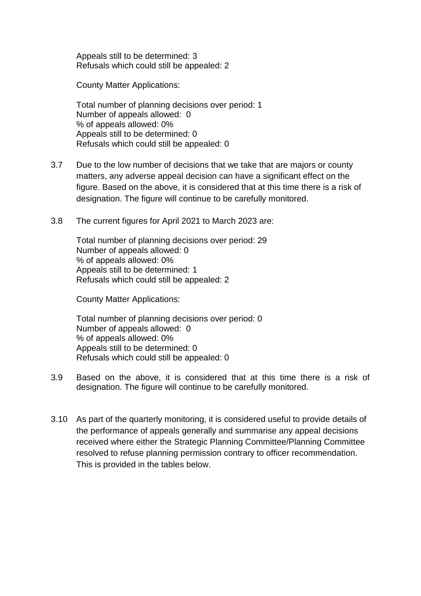Appeals still to be determined: 3 Refusals which could still be appealed: 2

County Matter Applications:

Total number of planning decisions over period: 1 Number of appeals allowed: 0 % of appeals allowed: 0% Appeals still to be determined: 0 Refusals which could still be appealed: 0

- 3.7 Due to the low number of decisions that we take that are majors or county matters, any adverse appeal decision can have a significant effect on the figure. Based on the above, it is considered that at this time there is a risk of designation. The figure will continue to be carefully monitored.
- 3.8 The current figures for April 2021 to March 2023 are:

Total number of planning decisions over period: 29 Number of appeals allowed: 0 % of appeals allowed: 0% Appeals still to be determined: 1 Refusals which could still be appealed: 2

County Matter Applications:

Total number of planning decisions over period: 0 Number of appeals allowed: 0 % of appeals allowed: 0% Appeals still to be determined: 0 Refusals which could still be appealed: 0

- 3.9 Based on the above, it is considered that at this time there is a risk of designation. The figure will continue to be carefully monitored.
- 3.10 As part of the quarterly monitoring, it is considered useful to provide details of the performance of appeals generally and summarise any appeal decisions received where either the Strategic Planning Committee/Planning Committee resolved to refuse planning permission contrary to officer recommendation. This is provided in the tables below.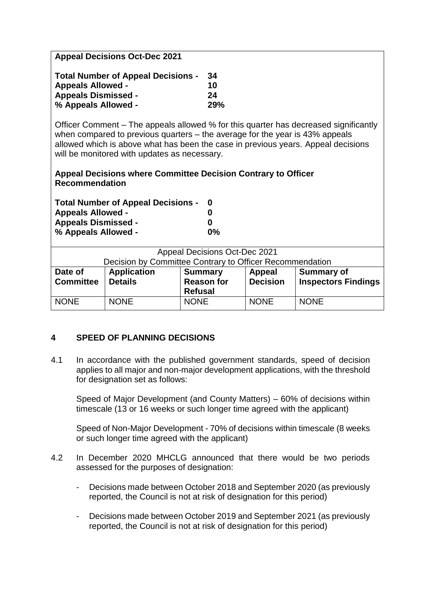| <b>Appeal Decisions Oct-Dec 2021</b>                                                                                                                                                                                                                        |            |  |  |  |
|-------------------------------------------------------------------------------------------------------------------------------------------------------------------------------------------------------------------------------------------------------------|------------|--|--|--|
| <b>Total Number of Appeal Decisions -</b>                                                                                                                                                                                                                   | 34         |  |  |  |
| <b>Appeals Allowed -</b>                                                                                                                                                                                                                                    | 10         |  |  |  |
| <b>Appeals Dismissed -</b>                                                                                                                                                                                                                                  | 24         |  |  |  |
| % Appeals Allowed -                                                                                                                                                                                                                                         | <b>29%</b> |  |  |  |
| Officer Comment – The appeals allowed % for this quarter has decreased significantly<br>when compared to previous quarters $-$ the average for the year is 43% appeals<br>allowed which is above what has been the case in previous years. Appeal decisions |            |  |  |  |

will be monitored with updates as necessary.

#### **Appeal Decisions where Committee Decision Contrary to Officer Recommendation**

| <b>Total Number of Appeal Decisions -</b> |       |
|-------------------------------------------|-------|
| <b>Appeals Allowed -</b>                  | 0     |
| <b>Appeals Dismissed -</b>                | O     |
| % Appeals Allowed -                       | $0\%$ |

| <b>Appeal Decisions Oct-Dec 2021</b>                     |                    |                   |                 |                            |  |
|----------------------------------------------------------|--------------------|-------------------|-----------------|----------------------------|--|
| Decision by Committee Contrary to Officer Recommendation |                    |                   |                 |                            |  |
| Date of                                                  | <b>Application</b> | <b>Summary</b>    | Appeal          | <b>Summary of</b>          |  |
| <b>Committee</b>                                         | <b>Details</b>     | <b>Reason for</b> | <b>Decision</b> | <b>Inspectors Findings</b> |  |
|                                                          |                    | <b>Refusal</b>    |                 |                            |  |
| <b>NONE</b>                                              | <b>NONE</b>        | <b>NONE</b>       | <b>NONE</b>     | <b>NONE</b>                |  |
|                                                          |                    |                   |                 |                            |  |

### **4 SPEED OF PLANNING DECISIONS**

4.1 In accordance with the published government standards, speed of decision applies to all major and non-major development applications, with the threshold for designation set as follows:

Speed of Major Development (and County Matters) – 60% of decisions within timescale (13 or 16 weeks or such longer time agreed with the applicant)

Speed of Non-Major Development - 70% of decisions within timescale (8 weeks or such longer time agreed with the applicant)

- 4.2 In December 2020 MHCLG announced that there would be two periods assessed for the purposes of designation:
	- Decisions made between October 2018 and September 2020 (as previously reported, the Council is not at risk of designation for this period)
	- Decisions made between October 2019 and September 2021 (as previously reported, the Council is not at risk of designation for this period)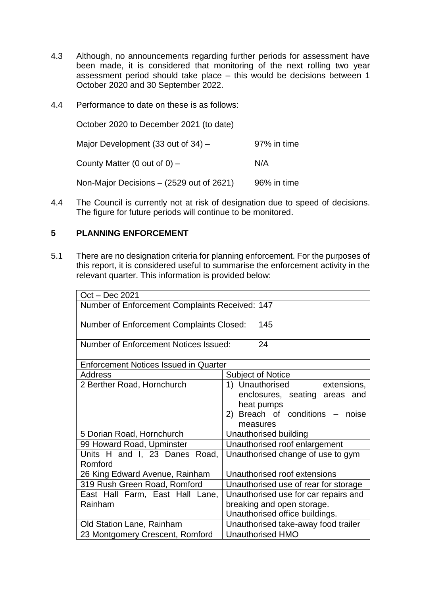- 4.3 Although, no announcements regarding further periods for assessment have been made, it is considered that monitoring of the next rolling two year assessment period should take place – this would be decisions between 1 October 2020 and 30 September 2022.
- 4.4 Performance to date on these is as follows:

October 2020 to December 2021 (to date)

Major Development  $(33 \text{ out of } 34)$  – 97% in time

County Matter  $(0 \text{ out of } 0)$  – N/A

Non-Major Decisions –  $(2529 \text{ out of } 2621)$  96% in time

4.4 The Council is currently not at risk of designation due to speed of decisions. The figure for future periods will continue to be monitored.

### **5 PLANNING ENFORCEMENT**

5.1 There are no designation criteria for planning enforcement. For the purposes of this report, it is considered useful to summarise the enforcement activity in the relevant quarter. This information is provided below:

| Oct - Dec 2021                                         |                                      |  |  |  |
|--------------------------------------------------------|--------------------------------------|--|--|--|
| Number of Enforcement Complaints Received: 147         |                                      |  |  |  |
|                                                        |                                      |  |  |  |
| <b>Number of Enforcement Complaints Closed:</b><br>145 |                                      |  |  |  |
|                                                        |                                      |  |  |  |
| <b>Number of Enforcement Notices Issued:</b><br>24     |                                      |  |  |  |
| <b>Enforcement Notices Issued in Quarter</b>           |                                      |  |  |  |
|                                                        |                                      |  |  |  |
| <b>Address</b>                                         | <b>Subject of Notice</b>             |  |  |  |
| 2 Berther Road, Hornchurch                             | 1) Unauthorised extensions,          |  |  |  |
|                                                        | enclosures, seating areas and        |  |  |  |
|                                                        | heat pumps                           |  |  |  |
|                                                        | 2) Breach of conditions – noise      |  |  |  |
|                                                        | measures                             |  |  |  |
| 5 Dorian Road, Hornchurch                              | Unauthorised building                |  |  |  |
| 99 Howard Road, Upminster                              | Unauthorised roof enlargement        |  |  |  |
| Units H and I, 23 Danes Road,                          | Unauthorised change of use to gym    |  |  |  |
| Romford                                                |                                      |  |  |  |
| 26 King Edward Avenue, Rainham                         | Unauthorised roof extensions         |  |  |  |
| 319 Rush Green Road, Romford                           | Unauthorised use of rear for storage |  |  |  |
| East Hall Farm, East Hall Lane,                        | Unauthorised use for car repairs and |  |  |  |
| Rainham                                                | breaking and open storage.           |  |  |  |
|                                                        | Unauthorised office buildings.       |  |  |  |
| Old Station Lane, Rainham                              | Unauthorised take-away food trailer  |  |  |  |
| 23 Montgomery Crescent, Romford                        | <b>Unauthorised HMO</b>              |  |  |  |